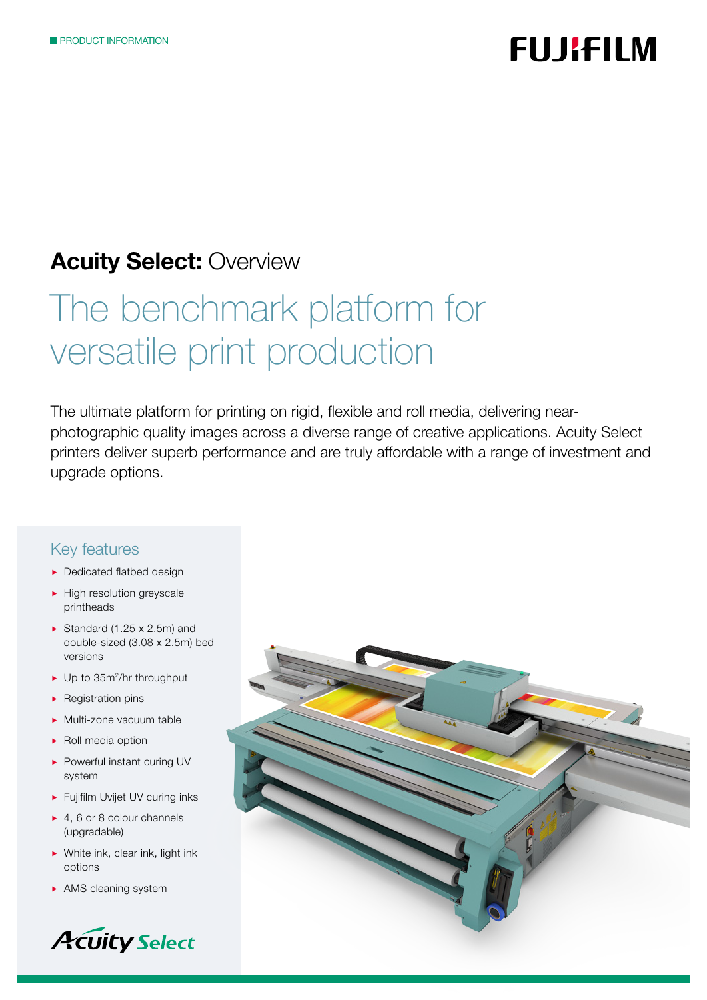# **FUJIFILM**

## **Acuity Select: Overview**

# The benchmark platform for versatile print production

The ultimate platform for printing on rigid, flexible and roll media, delivering nearphotographic quality images across a diverse range of creative applications. Acuity Select printers deliver superb performance and are truly affordable with a range of investment and upgrade options.

### Key features

- **Dedicated flatbed design**
- $\blacktriangleright$  High resolution greyscale printheads
- Standard (1.25  $\times$  2.5m) and double-sized (3.08 x 2.5m) bed versions
- ▶ Up to 35m<sup>2</sup>/hr throughput
- $\blacktriangleright$  Registration pins
- Multi-zone vacuum table
- $\blacktriangleright$  Roll media option
- ▶ Powerful instant curing UV system
- Fujifilm Uvijet UV curing inks
- ▶ 4, 6 or 8 colour channels (upgradable)
- ▶ White ink, clear ink, light ink options
- AMS cleaning system



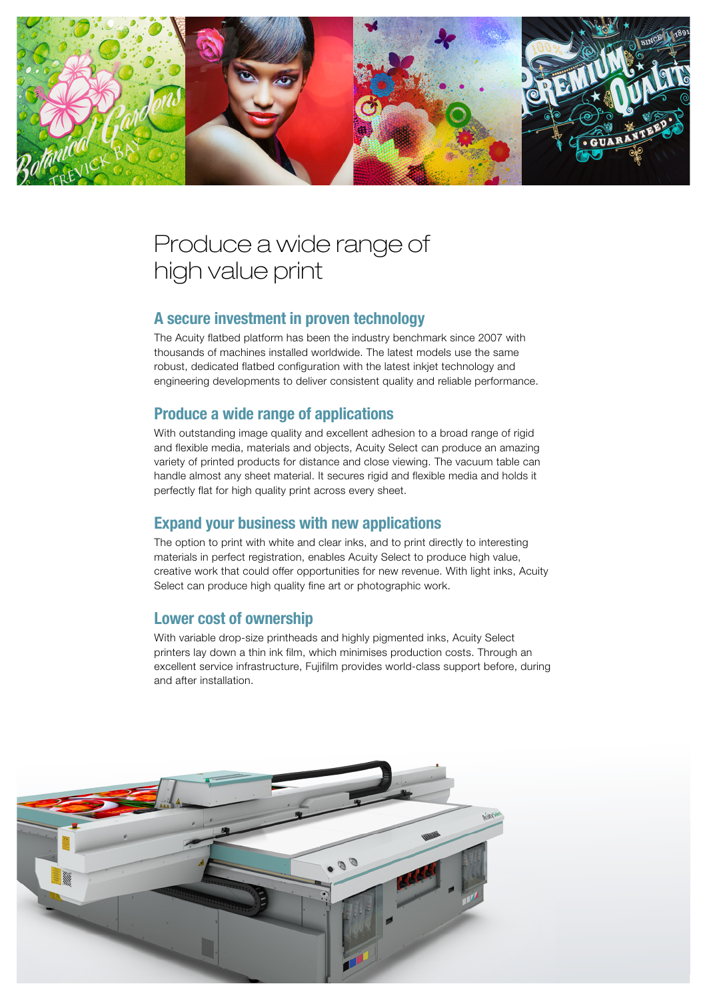

## Produce a wide range of high value print

### A secure investment in proven technology

The Acuity flatbed platform has been the industry benchmark since 2007 with thousands of machines installed worldwide. The latest models use the same robust, dedicated flatbed configuration with the latest inkjet technology and engineering developments to deliver consistent quality and reliable performance.

### Produce a wide range of applications

With outstanding image quality and excellent adhesion to a broad range of rigid and flexible media, materials and objects, Acuity Select can produce an amazing variety of printed products for distance and close viewing. The vacuum table can handle almost any sheet material. It secures rigid and flexible media and holds it perfectly flat for high quality print across every sheet.

### Expand your business with new applications

The option to print with white and clear inks, and to print directly to interesting materials in perfect registration, enables Acuity Select to produce high value, creative work that could offer opportunities for new revenue. With light inks, Acuity Select can produce high quality fine art or photographic work.

### Lower cost of ownership

With variable drop-size printheads and highly pigmented inks, Acuity Select printers lay down a thin ink film, which minimises production costs. Through an excellent service infrastructure, Fujifilm provides world-class support before, during and after installation.

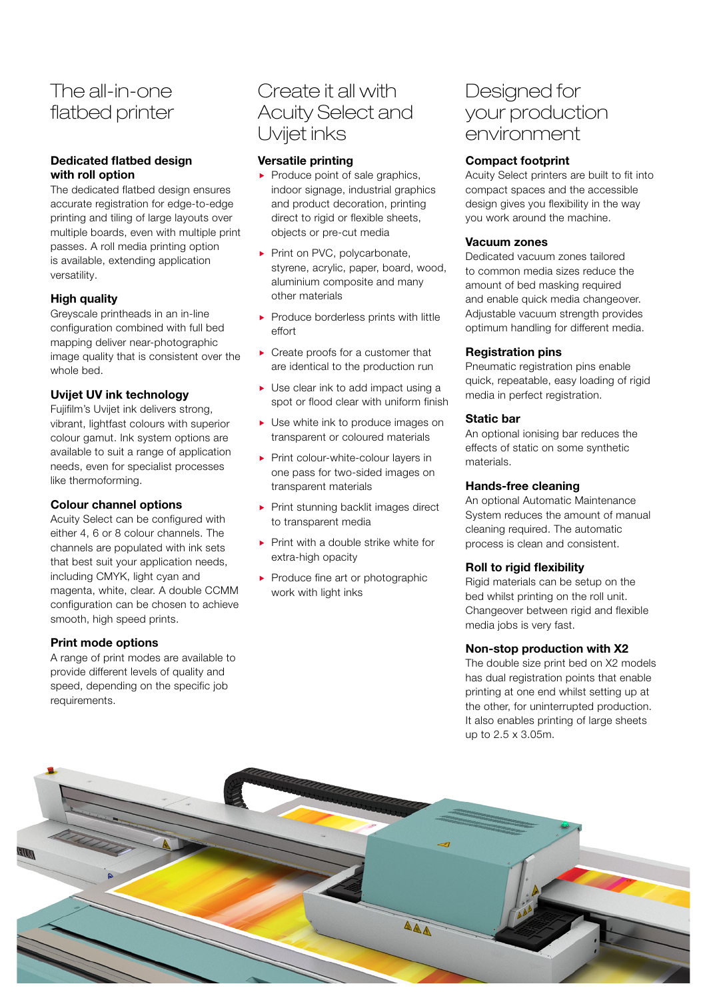### The all-in-one flatbed printer

### Dedicated flatbed design with roll option

The dedicated flatbed design ensures accurate registration for edge-to-edge printing and tiling of large layouts over multiple boards, even with multiple print passes. A roll media printing option is available, extending application versatility.

### High quality

Greyscale printheads in an in-line configuration combined with full bed mapping deliver near-photographic image quality that is consistent over the whole bed.

### Uvijet UV ink technology

Fujifilm's Uvijet ink delivers strong, vibrant, lightfast colours with superior colour gamut. Ink system options are available to suit a range of application needs, even for specialist processes like thermoforming.

### Colour channel options

Acuity Select can be configured with either 4, 6 or 8 colour channels. The channels are populated with ink sets that best suit your application needs, including CMYK, light cyan and magenta, white, clear. A double CCMM configuration can be chosen to achieve smooth, high speed prints.

### Print mode options

A range of print modes are available to provide different levels of quality and speed, depending on the specific job requirements.

### Create it all with Acuity Select and Uvijet inks

### Versatile printing

- $\blacktriangleright$  Produce point of sale graphics, indoor signage, industrial graphics and product decoration, printing direct to rigid or flexible sheets, objects or pre-cut media
- Print on PVC, polycarbonate, styrene, acrylic, paper, board, wood, aluminium composite and many other materials
- Produce borderless prints with little effort
- ▶ Create proofs for a customer that are identical to the production run
- ▶ Use clear ink to add impact using a spot or flood clear with uniform finish
- ▶ Use white ink to produce images on transparent or coloured materials
- Print colour-white-colour layers in one pass for two-sided images on transparent materials
- Print stunning backlit images direct to transparent media
- $\blacktriangleright$  Print with a double strike white for extra-high opacity
- $\blacktriangleright$  Produce fine art or photographic work with light inks

### Designed for your production environment

### Compact footprint

Acuity Select printers are built to fit into compact spaces and the accessible design gives you flexibility in the way you work around the machine.

#### Vacuum zones

Dedicated vacuum zones tailored to common media sizes reduce the amount of bed masking required and enable quick media changeover. Adjustable vacuum strength provides optimum handling for different media.

#### Registration pins

Pneumatic registration pins enable quick, repeatable, easy loading of rigid media in perfect registration.

#### Static bar

An optional ionising bar reduces the effects of static on some synthetic materials.

### Hands-free cleaning

An optional Automatic Maintenance System reduces the amount of manual cleaning required. The automatic process is clean and consistent.

### Roll to rigid flexibility

Rigid materials can be setup on the bed whilst printing on the roll unit. Changeover between rigid and flexible media jobs is very fast.

### Non-stop production with X2

The double size print bed on X2 models has dual registration points that enable printing at one end whilst setting up at the other, for uninterrupted production. It also enables printing of large sheets up to 2.5 x 3.05m.